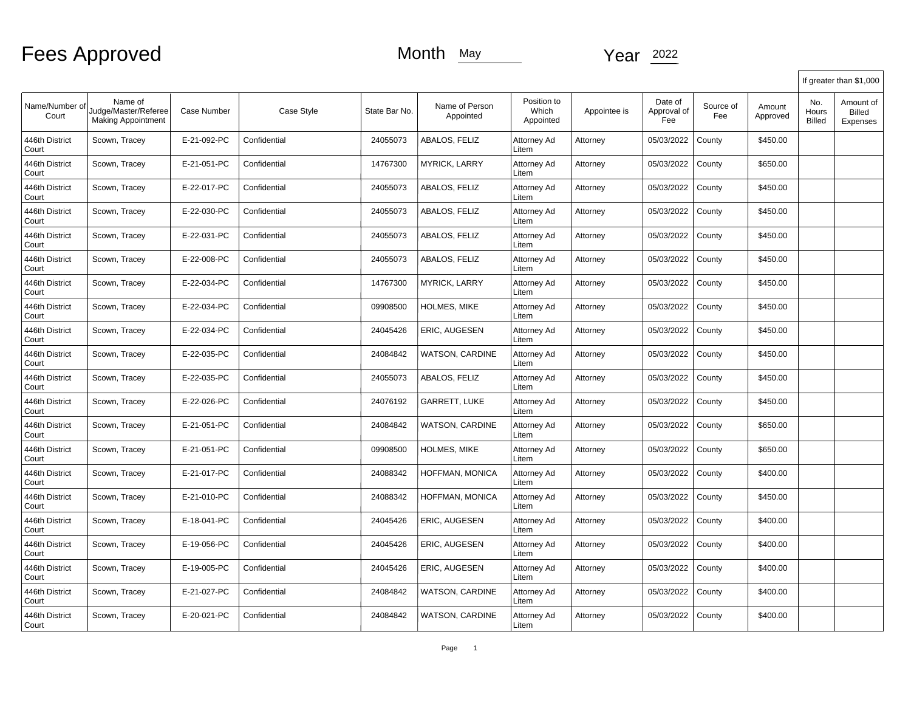|                         |                                                              |                    |              |               |                             |                                   |              |                               |                  |                    |                               | If greater than \$1,000                |
|-------------------------|--------------------------------------------------------------|--------------------|--------------|---------------|-----------------------------|-----------------------------------|--------------|-------------------------------|------------------|--------------------|-------------------------------|----------------------------------------|
| Name/Number of<br>Court | Name of<br>Judge/Master/Referee<br><b>Making Appointment</b> | <b>Case Number</b> | Case Style   | State Bar No. | Name of Person<br>Appointed | Position to<br>Which<br>Appointed | Appointee is | Date of<br>Approval of<br>Fee | Source of<br>Fee | Amount<br>Approved | No.<br>Hours<br><b>Billed</b> | Amount of<br><b>Billed</b><br>Expenses |
| 446th District<br>Court | Scown, Tracey                                                | E-21-092-PC        | Confidential | 24055073      | ABALOS, FELIZ               | Attorney Ad<br>Litem              | Attorney     | 05/03/2022                    | County           | \$450.00           |                               |                                        |
| 446th District<br>Court | Scown, Tracey                                                | E-21-051-PC        | Confidential | 14767300      | <b>MYRICK, LARRY</b>        | Attorney Ad<br>Litem              | Attorney     | 05/03/2022                    | County           | \$650.00           |                               |                                        |
| 446th District<br>Court | Scown, Tracey                                                | E-22-017-PC        | Confidential | 24055073      | ABALOS, FELIZ               | Attorney Ad<br>Litem              | Attorney     | 05/03/2022                    | County           | \$450.00           |                               |                                        |
| 446th District<br>Court | Scown, Tracey                                                | E-22-030-PC        | Confidential | 24055073      | ABALOS, FELIZ               | Attorney Ad<br>Litem              | Attorney     | 05/03/2022                    | County           | \$450.00           |                               |                                        |
| 446th District<br>Court | Scown, Tracey                                                | E-22-031-PC        | Confidential | 24055073      | ABALOS, FELIZ               | Attorney Ad<br>Litem              | Attorney     | 05/03/2022                    | County           | \$450.00           |                               |                                        |
| 446th District<br>Court | Scown, Tracey                                                | E-22-008-PC        | Confidential | 24055073      | ABALOS, FELIZ               | Attorney Ad<br>Litem              | Attorney     | 05/03/2022                    | County           | \$450.00           |                               |                                        |
| 446th District<br>Court | Scown, Tracey                                                | E-22-034-PC        | Confidential | 14767300      | <b>MYRICK, LARRY</b>        | Attorney Ad<br>Litem              | Attorney     | 05/03/2022                    | County           | \$450.00           |                               |                                        |
| 446th District<br>Court | Scown, Tracey                                                | E-22-034-PC        | Confidential | 09908500      | <b>HOLMES, MIKE</b>         | Attorney Ad<br>Litem              | Attorney     | 05/03/2022                    | County           | \$450.00           |                               |                                        |
| 446th District<br>Court | Scown, Tracey                                                | E-22-034-PC        | Confidential | 24045426      | ERIC, AUGESEN               | Attorney Ad<br>Litem              | Attorney     | 05/03/2022                    | County           | \$450.00           |                               |                                        |
| 446th District<br>Court | Scown, Tracey                                                | E-22-035-PC        | Confidential | 24084842      | <b>WATSON, CARDINE</b>      | Attorney Ad<br>Litem              | Attorney     | 05/03/2022                    | County           | \$450.00           |                               |                                        |
| 446th District<br>Court | Scown, Tracey                                                | E-22-035-PC        | Confidential | 24055073      | ABALOS, FELIZ               | Attorney Ad<br>Litem              | Attorney     | 05/03/2022                    | County           | \$450.00           |                               |                                        |
| 446th District<br>Court | Scown, Tracey                                                | E-22-026-PC        | Confidential | 24076192      | <b>GARRETT, LUKE</b>        | Attorney Ad<br>Litem              | Attorney     | 05/03/2022                    | County           | \$450.00           |                               |                                        |
| 446th District<br>Court | Scown, Tracey                                                | E-21-051-PC        | Confidential | 24084842      | WATSON, CARDINE             | Attorney Ad<br>Litem              | Attorney     | 05/03/2022                    | County           | \$650.00           |                               |                                        |
| 446th District<br>Court | Scown, Tracey                                                | E-21-051-PC        | Confidential | 09908500      | <b>HOLMES, MIKE</b>         | Attorney Ad<br>Litem              | Attorney     | 05/03/2022                    | County           | \$650.00           |                               |                                        |
| 446th District<br>Court | Scown, Tracey                                                | E-21-017-PC        | Confidential | 24088342      | HOFFMAN, MONICA             | Attorney Ad<br>Litem              | Attorney     | 05/03/2022                    | County           | \$400.00           |                               |                                        |
| 446th District<br>Court | Scown, Tracey                                                | E-21-010-PC        | Confidential | 24088342      | HOFFMAN, MONICA             | Attorney Ad<br>Litem              | Attorney     | 05/03/2022                    | County           | \$450.00           |                               |                                        |
| 446th District<br>Court | Scown, Tracey                                                | E-18-041-PC        | Confidential | 24045426      | <b>ERIC. AUGESEN</b>        | Attorney Ad<br>Litem              | Attorney     | 05/03/2022                    | County           | \$400.00           |                               |                                        |
| 446th District<br>Court | Scown, Tracey                                                | E-19-056-PC        | Confidential | 24045426      | ERIC, AUGESEN               | Attorney Ad<br>Litem              | Attorney     | 05/03/2022                    | County           | \$400.00           |                               |                                        |
| 446th District<br>Court | Scown, Tracey                                                | E-19-005-PC        | Confidential | 24045426      | ERIC, AUGESEN               | Attorney Ad<br>Litem              | Attorney     | 05/03/2022                    | County           | \$400.00           |                               |                                        |
| 446th District<br>Court | Scown, Tracey                                                | E-21-027-PC        | Confidential | 24084842      | WATSON, CARDINE             | Attorney Ad<br>Litem              | Attorney     | 05/03/2022                    | County           | \$400.00           |                               |                                        |
| 446th District<br>Court | Scown, Tracey                                                | E-20-021-PC        | Confidential | 24084842      | <b>WATSON, CARDINE</b>      | Attorney Ad<br>Litem              | Attorney     | 05/03/2022                    | County           | \$400.00           |                               |                                        |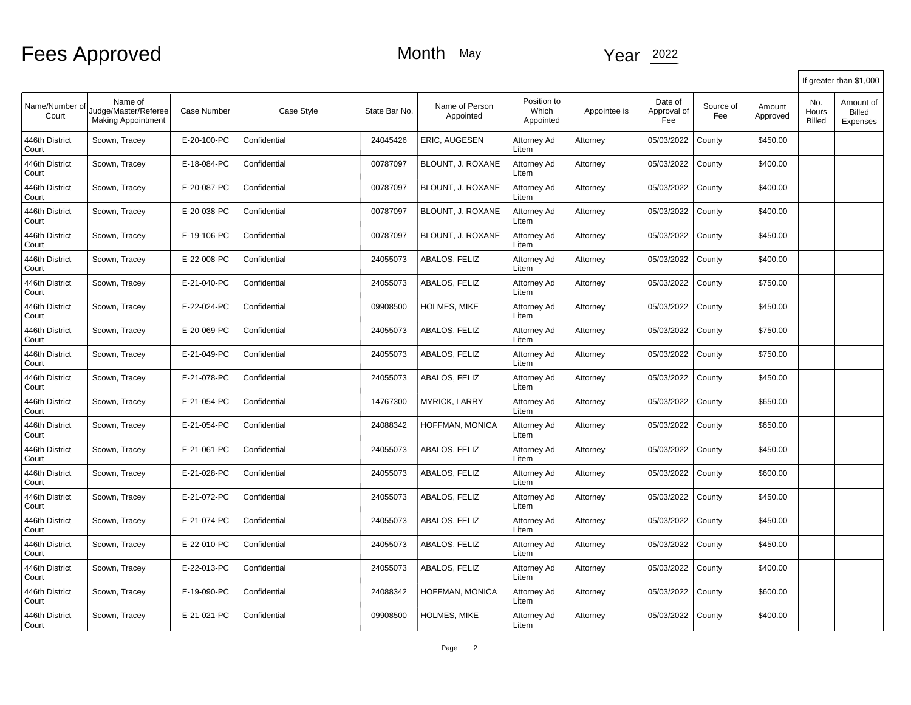|                         |                                                              |                    |              |               |                             |                                   |              |                               |                  |                    |                               | If greater than \$1,000                |
|-------------------------|--------------------------------------------------------------|--------------------|--------------|---------------|-----------------------------|-----------------------------------|--------------|-------------------------------|------------------|--------------------|-------------------------------|----------------------------------------|
| Name/Number of<br>Court | Name of<br>Judge/Master/Referee<br><b>Making Appointment</b> | <b>Case Number</b> | Case Style   | State Bar No. | Name of Person<br>Appointed | Position to<br>Which<br>Appointed | Appointee is | Date of<br>Approval of<br>Fee | Source of<br>Fee | Amount<br>Approved | No.<br>Hours<br><b>Billed</b> | Amount of<br><b>Billed</b><br>Expenses |
| 446th District<br>Court | Scown, Tracey                                                | E-20-100-PC        | Confidential | 24045426      | ERIC, AUGESEN               | Attorney Ad<br>Litem              | Attorney     | 05/03/2022                    | County           | \$450.00           |                               |                                        |
| 446th District<br>Court | Scown, Tracey                                                | E-18-084-PC        | Confidential | 00787097      | BLOUNT, J. ROXANE           | Attorney Ad<br>Litem              | Attorney     | 05/03/2022                    | County           | \$400.00           |                               |                                        |
| 446th District<br>Court | Scown, Tracey                                                | E-20-087-PC        | Confidential | 00787097      | BLOUNT, J. ROXANE           | Attorney Ad<br>Litem              | Attorney     | 05/03/2022                    | County           | \$400.00           |                               |                                        |
| 446th District<br>Court | Scown, Tracey                                                | E-20-038-PC        | Confidential | 00787097      | BLOUNT, J. ROXANE           | Attorney Ad<br>Litem              | Attorney     | 05/03/2022                    | County           | \$400.00           |                               |                                        |
| 446th District<br>Court | Scown, Tracey                                                | E-19-106-PC        | Confidential | 00787097      | BLOUNT, J. ROXANE           | Attorney Ad<br>Litem              | Attorney     | 05/03/2022                    | County           | \$450.00           |                               |                                        |
| 446th District<br>Court | Scown, Tracey                                                | E-22-008-PC        | Confidential | 24055073      | ABALOS, FELIZ               | Attorney Ad<br>Litem              | Attorney     | 05/03/2022                    | County           | \$400.00           |                               |                                        |
| 446th District<br>Court | Scown, Tracey                                                | E-21-040-PC        | Confidential | 24055073      | ABALOS, FELIZ               | Attorney Ad<br>Litem              | Attorney     | 05/03/2022                    | County           | \$750.00           |                               |                                        |
| 446th District<br>Court | Scown, Tracey                                                | E-22-024-PC        | Confidential | 09908500      | HOLMES, MIKE                | Attorney Ad<br>Litem              | Attorney     | 05/03/2022                    | County           | \$450.00           |                               |                                        |
| 446th District<br>Court | Scown, Tracey                                                | E-20-069-PC        | Confidential | 24055073      | ABALOS, FELIZ               | Attorney Ad<br>Litem              | Attorney     | 05/03/2022                    | County           | \$750.00           |                               |                                        |
| 446th District<br>Court | Scown, Tracey                                                | E-21-049-PC        | Confidential | 24055073      | ABALOS, FELIZ               | Attorney Ad<br>Litem              | Attorney     | 05/03/2022                    | County           | \$750.00           |                               |                                        |
| 446th District<br>Court | Scown, Tracey                                                | E-21-078-PC        | Confidential | 24055073      | ABALOS, FELIZ               | Attorney Ad<br>Litem              | Attorney     | 05/03/2022                    | County           | \$450.00           |                               |                                        |
| 446th District<br>Court | Scown, Tracey                                                | E-21-054-PC        | Confidential | 14767300      | <b>MYRICK, LARRY</b>        | Attorney Ad<br>Litem              | Attorney     | 05/03/2022                    | County           | \$650.00           |                               |                                        |
| 446th District<br>Court | Scown, Tracey                                                | E-21-054-PC        | Confidential | 24088342      | HOFFMAN, MONICA             | Attorney Ad<br>Litem              | Attorney     | 05/03/2022                    | County           | \$650.00           |                               |                                        |
| 446th District<br>Court | Scown, Tracey                                                | E-21-061-PC        | Confidential | 24055073      | ABALOS, FELIZ               | Attorney Ad<br>Litem              | Attorney     | 05/03/2022                    | County           | \$450.00           |                               |                                        |
| 446th District<br>Court | Scown, Tracey                                                | E-21-028-PC        | Confidential | 24055073      | ABALOS, FELIZ               | Attorney Ad<br>Litem              | Attorney     | 05/03/2022                    | County           | \$600.00           |                               |                                        |
| 446th District<br>Court | Scown, Tracey                                                | E-21-072-PC        | Confidential | 24055073      | ABALOS, FELIZ               | Attorney Ad<br>Litem              | Attorney     | 05/03/2022                    | County           | \$450.00           |                               |                                        |
| 446th District<br>Court | Scown, Tracey                                                | E-21-074-PC        | Confidential | 24055073      | ABALOS. FELIZ               | Attorney Ad<br>Litem              | Attorney     | 05/03/2022                    | County           | \$450.00           |                               |                                        |
| 446th District<br>Court | Scown, Tracey                                                | E-22-010-PC        | Confidential | 24055073      | ABALOS, FELIZ               | Attorney Ad<br>Litem              | Attorney     | 05/03/2022                    | County           | \$450.00           |                               |                                        |
| 446th District<br>Court | Scown, Tracey                                                | E-22-013-PC        | Confidential | 24055073      | ABALOS, FELIZ               | Attorney Ad<br>Litem              | Attorney     | 05/03/2022                    | County           | \$400.00           |                               |                                        |
| 446th District<br>Court | Scown, Tracey                                                | E-19-090-PC        | Confidential | 24088342      | HOFFMAN, MONICA             | Attorney Ad<br>Litem              | Attorney     | 05/03/2022                    | County           | \$600.00           |                               |                                        |
| 446th District<br>Court | Scown, Tracey                                                | E-21-021-PC        | Confidential | 09908500      | HOLMES, MIKE                | Attorney Ad<br>Litem              | Attorney     | 05/03/2022                    | County           | \$400.00           |                               |                                        |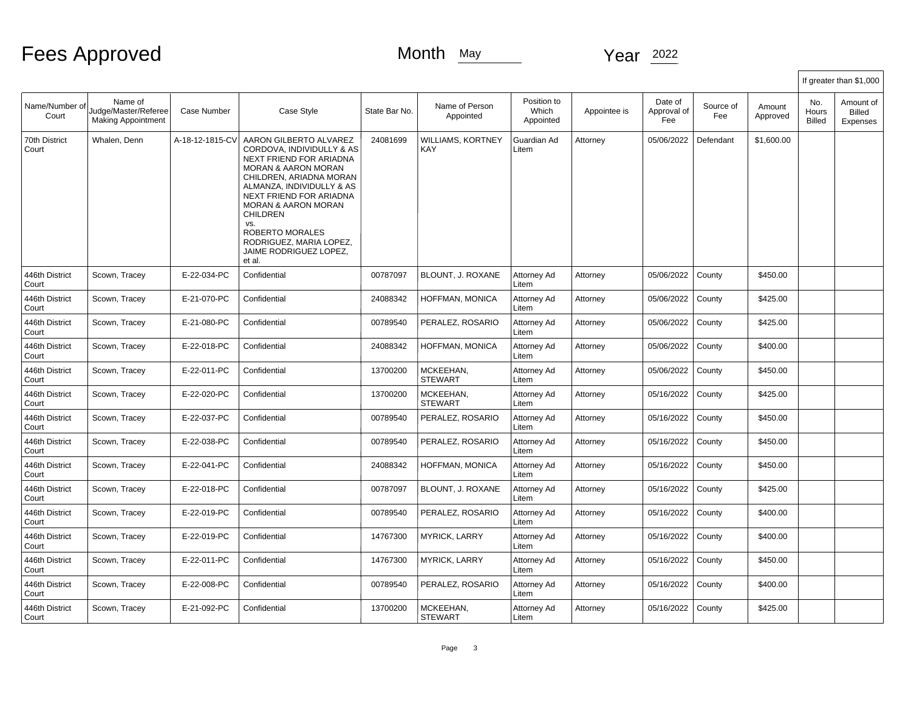# Fees Approved Month May Month May Year 2022

|                         |                                                              |                 |                                                                                                                                                                                                                                                                                                                                                                 |               |                             |                                   |              |                               |                  |                    |                               | If greater than \$1,000                |
|-------------------------|--------------------------------------------------------------|-----------------|-----------------------------------------------------------------------------------------------------------------------------------------------------------------------------------------------------------------------------------------------------------------------------------------------------------------------------------------------------------------|---------------|-----------------------------|-----------------------------------|--------------|-------------------------------|------------------|--------------------|-------------------------------|----------------------------------------|
| Name/Number of<br>Court | Name of<br>Judge/Master/Referee<br><b>Making Appointment</b> | Case Number     | Case Style                                                                                                                                                                                                                                                                                                                                                      | State Bar No. | Name of Person<br>Appointed | Position to<br>Which<br>Appointed | Appointee is | Date of<br>Approval of<br>Fee | Source of<br>Fee | Amount<br>Approved | No.<br>Hours<br><b>Billed</b> | Amount of<br><b>Billed</b><br>Expenses |
| 70th District<br>Court  | Whalen, Denn                                                 | A-18-12-1815-CV | AARON GILBERTO ALVAREZ<br>CORDOVA, INDIVIDULLY & AS<br>NEXT FRIEND FOR ARIADNA<br><b>MORAN &amp; AARON MORAN</b><br>CHILDREN, ARIADNA MORAN<br>ALMANZA, INDIVIDULLY & AS<br><b>NEXT FRIEND FOR ARIADNA</b><br><b>MORAN &amp; AARON MORAN</b><br><b>CHILDREN</b><br>VS.<br><b>ROBERTO MORALES</b><br>RODRIGUEZ, MARIA LOPEZ,<br>JAIME RODRIGUEZ LOPEZ,<br>et al. | 24081699      | WILLIAMS, KORTNEY<br>KAY    | Guardian Ad<br>Litem              | Attorney     | 05/06/2022                    | Defendant        | \$1,600.00         |                               |                                        |
| 446th District<br>Court | Scown, Tracey                                                | E-22-034-PC     | Confidential                                                                                                                                                                                                                                                                                                                                                    | 00787097      | BLOUNT, J. ROXANE           | Attorney Ad<br>Litem              | Attorney     | 05/06/2022                    | County           | \$450.00           |                               |                                        |
| 446th District<br>Court | Scown, Tracey                                                | E-21-070-PC     | Confidential                                                                                                                                                                                                                                                                                                                                                    | 24088342      | HOFFMAN, MONICA             | Attorney Ad<br>Litem              | Attorney     | 05/06/2022                    | County           | \$425.00           |                               |                                        |
| 446th District<br>Court | Scown, Tracey                                                | E-21-080-PC     | Confidential                                                                                                                                                                                                                                                                                                                                                    | 00789540      | PERALEZ, ROSARIO            | Attorney Ad<br>Litem              | Attorney     | 05/06/2022                    | County           | \$425.00           |                               |                                        |
| 446th District<br>Court | Scown, Tracey                                                | E-22-018-PC     | Confidential                                                                                                                                                                                                                                                                                                                                                    | 24088342      | HOFFMAN, MONICA             | Attorney Ad<br>Litem              | Attorney     | 05/06/2022                    | County           | \$400.00           |                               |                                        |
| 446th District<br>Court | Scown, Tracey                                                | E-22-011-PC     | Confidential                                                                                                                                                                                                                                                                                                                                                    | 13700200      | MCKEEHAN.<br><b>STEWART</b> | Attorney Ad<br>Litem              | Attorney     | 05/06/2022                    | County           | \$450.00           |                               |                                        |
| 446th District<br>Court | Scown, Tracey                                                | E-22-020-PC     | Confidential                                                                                                                                                                                                                                                                                                                                                    | 13700200      | MCKEEHAN.<br><b>STEWART</b> | Attorney Ad<br>Litem              | Attorney     | 05/16/2022                    | County           | \$425.00           |                               |                                        |
| 446th District<br>Court | Scown, Tracey                                                | E-22-037-PC     | Confidential                                                                                                                                                                                                                                                                                                                                                    | 00789540      | PERALEZ, ROSARIO            | Attorney Ad<br>Litem              | Attorney     | 05/16/2022                    | County           | \$450.00           |                               |                                        |
| 446th District<br>Court | Scown, Tracey                                                | E-22-038-PC     | Confidential                                                                                                                                                                                                                                                                                                                                                    | 00789540      | PERALEZ, ROSARIO            | Attorney Ad<br>Litem              | Attorney     | 05/16/2022                    | County           | \$450.00           |                               |                                        |
| 446th District<br>Court | Scown, Tracey                                                | E-22-041-PC     | Confidential                                                                                                                                                                                                                                                                                                                                                    | 24088342      | HOFFMAN, MONICA             | Attorney Ad<br>Litem              | Attorney     | 05/16/2022                    | County           | \$450.00           |                               |                                        |
| 446th District<br>Court | Scown, Tracey                                                | E-22-018-PC     | Confidential                                                                                                                                                                                                                                                                                                                                                    | 00787097      | BLOUNT, J. ROXANE           | Attorney Ad<br>Litem              | Attorney     | 05/16/2022                    | County           | \$425.00           |                               |                                        |
| 446th District<br>Court | Scown, Tracey                                                | E-22-019-PC     | Confidential                                                                                                                                                                                                                                                                                                                                                    | 00789540      | PERALEZ, ROSARIO            | Attorney Ad<br>Litem              | Attorney     | 05/16/2022                    | County           | \$400.00           |                               |                                        |
| 446th District<br>Court | Scown, Tracey                                                | E-22-019-PC     | Confidential                                                                                                                                                                                                                                                                                                                                                    | 14767300      | <b>MYRICK, LARRY</b>        | Attorney Ad<br>Litem              | Attorney     | 05/16/2022                    | County           | \$400.00           |                               |                                        |
| 446th District<br>Court | Scown, Tracey                                                | E-22-011-PC     | Confidential                                                                                                                                                                                                                                                                                                                                                    | 14767300      | <b>MYRICK, LARRY</b>        | Attorney Ad<br>Litem              | Attorney     | 05/16/2022                    | County           | \$450.00           |                               |                                        |
| 446th District<br>Court | Scown, Tracey                                                | E-22-008-PC     | Confidential                                                                                                                                                                                                                                                                                                                                                    | 00789540      | PERALEZ, ROSARIO            | Attorney Ad<br>Litem              | Attorney     | 05/16/2022                    | County           | \$400.00           |                               |                                        |
| 446th District<br>Court | Scown, Tracey                                                | E-21-092-PC     | Confidential                                                                                                                                                                                                                                                                                                                                                    | 13700200      | MCKEEHAN,<br><b>STEWART</b> | Attorney Ad<br>Litem              | Attorney     | 05/16/2022                    | County           | \$425.00           |                               |                                        |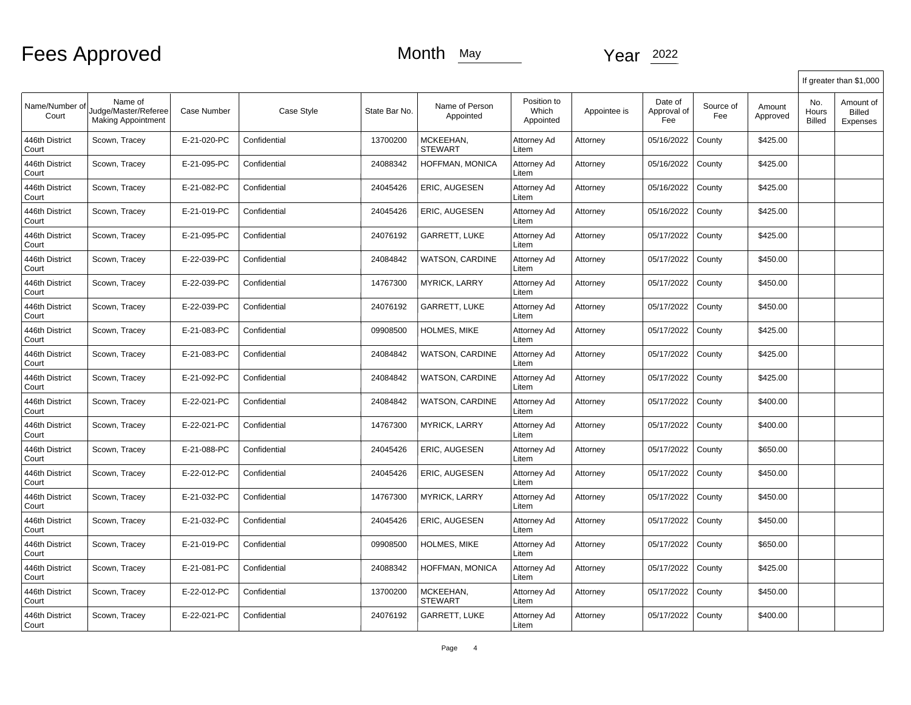|                         |                                                              |             |              |               |                             |                                   |              |                               |                  |                    |                        | If greater than \$1,000                |
|-------------------------|--------------------------------------------------------------|-------------|--------------|---------------|-----------------------------|-----------------------------------|--------------|-------------------------------|------------------|--------------------|------------------------|----------------------------------------|
| Name/Number of<br>Court | Name of<br>Judge/Master/Referee<br><b>Making Appointment</b> | Case Number | Case Style   | State Bar No. | Name of Person<br>Appointed | Position to<br>Which<br>Appointed | Appointee is | Date of<br>Approval of<br>Fee | Source of<br>Fee | Amount<br>Approved | No.<br>Hours<br>Billed | Amount of<br><b>Billed</b><br>Expenses |
| 446th District<br>Court | Scown, Tracey                                                | E-21-020-PC | Confidential | 13700200      | MCKEEHAN,<br><b>STEWART</b> | Attorney Ad<br>Litem              | Attorney     | 05/16/2022                    | County           | \$425.00           |                        |                                        |
| 446th District<br>Court | Scown, Tracey                                                | E-21-095-PC | Confidential | 24088342      | HOFFMAN, MONICA             | Attorney Ad<br>Litem              | Attorney     | 05/16/2022                    | County           | \$425.00           |                        |                                        |
| 446th District<br>Court | Scown, Tracey                                                | E-21-082-PC | Confidential | 24045426      | ERIC, AUGESEN               | Attorney Ad<br>Litem              | Attorney     | 05/16/2022                    | County           | \$425.00           |                        |                                        |
| 446th District<br>Court | Scown, Tracey                                                | E-21-019-PC | Confidential | 24045426      | ERIC, AUGESEN               | Attorney Ad<br>Litem              | Attorney     | 05/16/2022                    | County           | \$425.00           |                        |                                        |
| 446th District<br>Court | Scown, Tracey                                                | E-21-095-PC | Confidential | 24076192      | GARRETT, LUKE               | Attorney Ad<br>Litem              | Attorney     | 05/17/2022                    | County           | \$425.00           |                        |                                        |
| 446th District<br>Court | Scown, Tracey                                                | E-22-039-PC | Confidential | 24084842      | <b>WATSON, CARDINE</b>      | Attorney Ad<br>Litem              | Attorney     | 05/17/2022                    | County           | \$450.00           |                        |                                        |
| 446th District<br>Court | Scown, Tracey                                                | E-22-039-PC | Confidential | 14767300      | <b>MYRICK, LARRY</b>        | Attorney Ad<br>Litem              | Attorney     | 05/17/2022                    | County           | \$450.00           |                        |                                        |
| 446th District<br>Court | Scown, Tracey                                                | E-22-039-PC | Confidential | 24076192      | <b>GARRETT, LUKE</b>        | Attorney Ad<br>Litem              | Attorney     | 05/17/2022                    | County           | \$450.00           |                        |                                        |
| 446th District<br>Court | Scown, Tracey                                                | E-21-083-PC | Confidential | 09908500      | HOLMES, MIKE                | Attorney Ad<br>Litem              | Attorney     | 05/17/2022                    | County           | \$425.00           |                        |                                        |
| 446th District<br>Court | Scown, Tracey                                                | E-21-083-PC | Confidential | 24084842      | <b>WATSON, CARDINE</b>      | Attorney Ad<br>Litem              | Attorney     | 05/17/2022                    | County           | \$425.00           |                        |                                        |
| 446th District<br>Court | Scown, Tracey                                                | E-21-092-PC | Confidential | 24084842      | <b>WATSON, CARDINE</b>      | Attorney Ad<br>Litem              | Attorney     | 05/17/2022                    | County           | \$425.00           |                        |                                        |
| 446th District<br>Court | Scown, Tracey                                                | E-22-021-PC | Confidential | 24084842      | WATSON, CARDINE             | Attorney Ad<br>Litem              | Attorney     | 05/17/2022                    | County           | \$400.00           |                        |                                        |
| 446th District<br>Court | Scown, Tracey                                                | E-22-021-PC | Confidential | 14767300      | <b>MYRICK, LARRY</b>        | Attorney Ad<br>Litem              | Attorney     | 05/17/2022                    | County           | \$400.00           |                        |                                        |
| 446th District<br>Court | Scown, Tracey                                                | E-21-088-PC | Confidential | 24045426      | ERIC, AUGESEN               | Attorney Ad<br>Litem              | Attorney     | 05/17/2022                    | County           | \$650.00           |                        |                                        |
| 446th District<br>Court | Scown, Tracey                                                | E-22-012-PC | Confidential | 24045426      | ERIC, AUGESEN               | Attorney Ad<br>Litem              | Attorney     | 05/17/2022                    | County           | \$450.00           |                        |                                        |
| 446th District<br>Court | Scown, Tracey                                                | E-21-032-PC | Confidential | 14767300      | <b>MYRICK, LARRY</b>        | Attorney Ad<br>Litem              | Attorney     | 05/17/2022                    | County           | \$450.00           |                        |                                        |
| 446th District<br>Court | Scown, Tracey                                                | E-21-032-PC | Confidential | 24045426      | <b>ERIC. AUGESEN</b>        | Attorney Ad<br>Litem              | Attorney     | 05/17/2022                    | County           | \$450.00           |                        |                                        |
| 446th District<br>Court | Scown, Tracey                                                | E-21-019-PC | Confidential | 09908500      | HOLMES, MIKE                | Attorney Ad<br>Litem              | Attorney     | 05/17/2022                    | County           | \$650.00           |                        |                                        |
| 446th District<br>Court | Scown, Tracey                                                | E-21-081-PC | Confidential | 24088342      | HOFFMAN, MONICA             | Attorney Ad<br>Litem              | Attorney     | 05/17/2022                    | County           | \$425.00           |                        |                                        |
| 446th District<br>Court | Scown, Tracey                                                | E-22-012-PC | Confidential | 13700200      | MCKEEHAN,<br><b>STEWART</b> | Attorney Ad<br>Litem              | Attorney     | 05/17/2022                    | County           | \$450.00           |                        |                                        |
| 446th District<br>Court | Scown, Tracey                                                | E-22-021-PC | Confidential | 24076192      | <b>GARRETT, LUKE</b>        | Attorney Ad<br>Litem              | Attorney     | 05/17/2022                    | County           | \$400.00           |                        |                                        |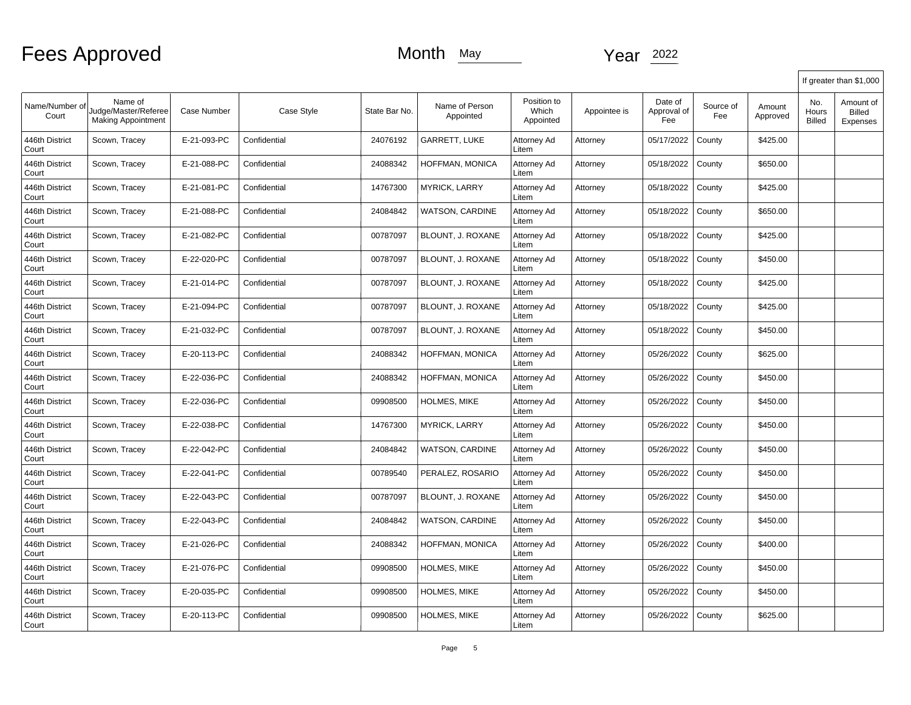|                         |                                                              |                    |              |               |                             |                                   |              |                               |                  |                    |                               | If greater than \$1,000                |
|-------------------------|--------------------------------------------------------------|--------------------|--------------|---------------|-----------------------------|-----------------------------------|--------------|-------------------------------|------------------|--------------------|-------------------------------|----------------------------------------|
| Name/Number of<br>Court | Name of<br>Judge/Master/Referee<br><b>Making Appointment</b> | <b>Case Number</b> | Case Style   | State Bar No. | Name of Person<br>Appointed | Position to<br>Which<br>Appointed | Appointee is | Date of<br>Approval of<br>Fee | Source of<br>Fee | Amount<br>Approved | No.<br>Hours<br><b>Billed</b> | Amount of<br><b>Billed</b><br>Expenses |
| 446th District<br>Court | Scown, Tracey                                                | E-21-093-PC        | Confidential | 24076192      | <b>GARRETT, LUKE</b>        | Attorney Ad<br>Litem              | Attorney     | 05/17/2022                    | County           | \$425.00           |                               |                                        |
| 446th District<br>Court | Scown, Tracey                                                | E-21-088-PC        | Confidential | 24088342      | HOFFMAN, MONICA             | Attorney Ad<br>Litem              | Attorney     | 05/18/2022                    | County           | \$650.00           |                               |                                        |
| 446th District<br>Court | Scown, Tracey                                                | E-21-081-PC        | Confidential | 14767300      | <b>MYRICK, LARRY</b>        | Attorney Ad<br>Litem              | Attorney     | 05/18/2022                    | County           | \$425.00           |                               |                                        |
| 446th District<br>Court | Scown, Tracey                                                | E-21-088-PC        | Confidential | 24084842      | WATSON, CARDINE             | Attorney Ad<br>Litem              | Attorney     | 05/18/2022                    | County           | \$650.00           |                               |                                        |
| 446th District<br>Court | Scown, Tracey                                                | E-21-082-PC        | Confidential | 00787097      | BLOUNT, J. ROXANE           | Attorney Ad<br>Litem              | Attorney     | 05/18/2022                    | County           | \$425.00           |                               |                                        |
| 446th District<br>Court | Scown, Tracey                                                | E-22-020-PC        | Confidential | 00787097      | BLOUNT, J. ROXANE           | Attorney Ad<br>Litem              | Attorney     | 05/18/2022                    | County           | \$450.00           |                               |                                        |
| 446th District<br>Court | Scown, Tracey                                                | E-21-014-PC        | Confidential | 00787097      | BLOUNT, J. ROXANE           | Attorney Ad<br>Litem              | Attorney     | 05/18/2022                    | County           | \$425.00           |                               |                                        |
| 446th District<br>Court | Scown, Tracey                                                | E-21-094-PC        | Confidential | 00787097      | BLOUNT, J. ROXANE           | Attorney Ad<br>Litem              | Attorney     | 05/18/2022                    | County           | \$425.00           |                               |                                        |
| 446th District<br>Court | Scown, Tracey                                                | E-21-032-PC        | Confidential | 00787097      | BLOUNT, J. ROXANE           | Attorney Ad<br>Litem              | Attorney     | 05/18/2022                    | County           | \$450.00           |                               |                                        |
| 446th District<br>Court | Scown, Tracey                                                | E-20-113-PC        | Confidential | 24088342      | <b>HOFFMAN, MONICA</b>      | Attorney Ad<br>Litem              | Attorney     | 05/26/2022                    | County           | \$625.00           |                               |                                        |
| 446th District<br>Court | Scown, Tracey                                                | E-22-036-PC        | Confidential | 24088342      | HOFFMAN, MONICA             | Attorney Ad<br>Litem              | Attorney     | 05/26/2022                    | County           | \$450.00           |                               |                                        |
| 446th District<br>Court | Scown, Tracey                                                | E-22-036-PC        | Confidential | 09908500      | <b>HOLMES, MIKE</b>         | Attorney Ad<br>Litem              | Attorney     | 05/26/2022                    | County           | \$450.00           |                               |                                        |
| 446th District<br>Court | Scown, Tracey                                                | E-22-038-PC        | Confidential | 14767300      | <b>MYRICK, LARRY</b>        | Attorney Ad<br>Litem              | Attorney     | 05/26/2022                    | County           | \$450.00           |                               |                                        |
| 446th District<br>Court | Scown, Tracey                                                | E-22-042-PC        | Confidential | 24084842      | WATSON, CARDINE             | Attorney Ad<br>Litem              | Attorney     | 05/26/2022                    | County           | \$450.00           |                               |                                        |
| 446th District<br>Court | Scown, Tracey                                                | E-22-041-PC        | Confidential | 00789540      | PERALEZ, ROSARIO            | Attorney Ad<br>Litem              | Attorney     | 05/26/2022                    | County           | \$450.00           |                               |                                        |
| 446th District<br>Court | Scown, Tracey                                                | E-22-043-PC        | Confidential | 00787097      | BLOUNT, J. ROXANE           | Attorney Ad<br>Litem              | Attorney     | 05/26/2022                    | County           | \$450.00           |                               |                                        |
| 446th District<br>Court | Scown, Tracey                                                | E-22-043-PC        | Confidential | 24084842      | <b>WATSON, CARDINE</b>      | Attorney Ad<br>Litem              | Attorney     | 05/26/2022                    | County           | \$450.00           |                               |                                        |
| 446th District<br>Court | Scown, Tracey                                                | E-21-026-PC        | Confidential | 24088342      | HOFFMAN, MONICA             | Attorney Ad<br>Litem              | Attorney     | 05/26/2022                    | County           | \$400.00           |                               |                                        |
| 446th District<br>Court | Scown, Tracey                                                | E-21-076-PC        | Confidential | 09908500      | HOLMES, MIKE                | Attorney Ad<br>Litem              | Attorney     | 05/26/2022                    | County           | \$450.00           |                               |                                        |
| 446th District<br>Court | Scown, Tracey                                                | E-20-035-PC        | Confidential | 09908500      | HOLMES, MIKE                | Attorney Ad<br>Litem              | Attorney     | 05/26/2022                    | County           | \$450.00           |                               |                                        |
| 446th District<br>Court | Scown, Tracey                                                | E-20-113-PC        | Confidential | 09908500      | HOLMES, MIKE                | Attorney Ad<br>Litem              | Attorney     | 05/26/2022                    | County           | \$625.00           |                               |                                        |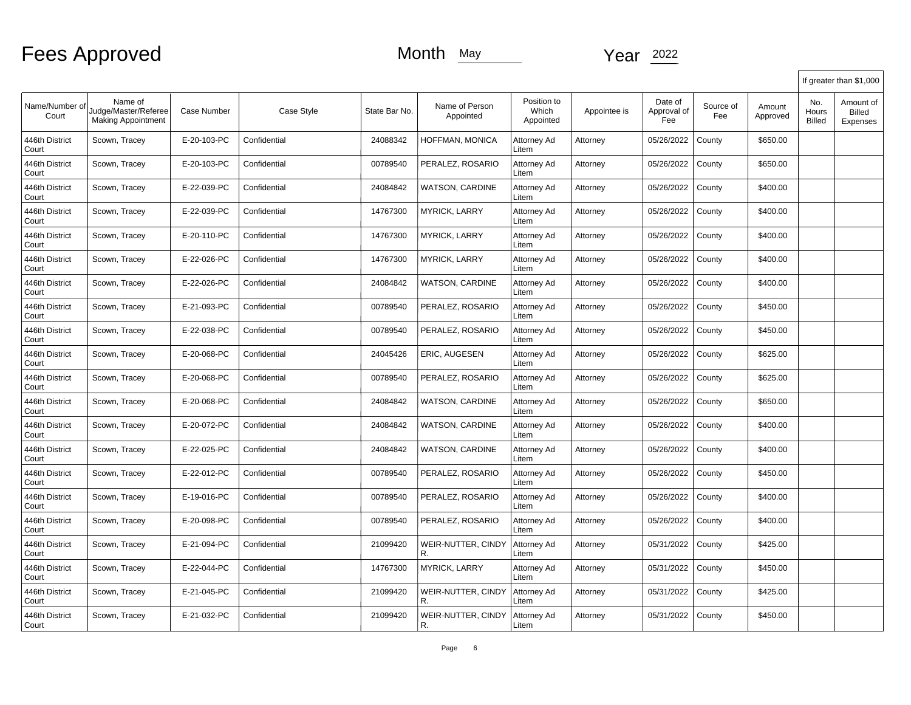|                         |                                                              |                    |              |               |                             |                                   |              |                               |                  |                    |                               | If greater than \$1,000                |
|-------------------------|--------------------------------------------------------------|--------------------|--------------|---------------|-----------------------------|-----------------------------------|--------------|-------------------------------|------------------|--------------------|-------------------------------|----------------------------------------|
| Name/Number of<br>Court | Name of<br>Judge/Master/Referee<br><b>Making Appointment</b> | <b>Case Number</b> | Case Style   | State Bar No. | Name of Person<br>Appointed | Position to<br>Which<br>Appointed | Appointee is | Date of<br>Approval of<br>Fee | Source of<br>Fee | Amount<br>Approved | No.<br>Hours<br><b>Billed</b> | Amount of<br><b>Billed</b><br>Expenses |
| 446th District<br>Court | Scown, Tracey                                                | E-20-103-PC        | Confidential | 24088342      | HOFFMAN, MONICA             | Attorney Ad<br>Litem              | Attorney     | 05/26/2022                    | County           | \$650.00           |                               |                                        |
| 446th District<br>Court | Scown, Tracey                                                | E-20-103-PC        | Confidential | 00789540      | PERALEZ, ROSARIO            | Attorney Ad<br>Litem              | Attorney     | 05/26/2022                    | County           | \$650.00           |                               |                                        |
| 446th District<br>Court | Scown, Tracey                                                | E-22-039-PC        | Confidential | 24084842      | WATSON, CARDINE             | Attorney Ad<br>Litem              | Attorney     | 05/26/2022                    | County           | \$400.00           |                               |                                        |
| 446th District<br>Court | Scown, Tracey                                                | E-22-039-PC        | Confidential | 14767300      | <b>MYRICK, LARRY</b>        | Attorney Ad<br>Litem              | Attorney     | 05/26/2022                    | County           | \$400.00           |                               |                                        |
| 446th District<br>Court | Scown, Tracey                                                | E-20-110-PC        | Confidential | 14767300      | <b>MYRICK, LARRY</b>        | Attorney Ad<br>Litem              | Attorney     | 05/26/2022                    | County           | \$400.00           |                               |                                        |
| 446th District<br>Court | Scown, Tracey                                                | E-22-026-PC        | Confidential | 14767300      | <b>MYRICK, LARRY</b>        | Attorney Ad<br>Litem              | Attorney     | 05/26/2022                    | County           | \$400.00           |                               |                                        |
| 446th District<br>Court | Scown, Tracey                                                | E-22-026-PC        | Confidential | 24084842      | WATSON, CARDINE             | Attorney Ad<br>Litem              | Attorney     | 05/26/2022                    | County           | \$400.00           |                               |                                        |
| 446th District<br>Court | Scown, Tracey                                                | E-21-093-PC        | Confidential | 00789540      | PERALEZ, ROSARIO            | Attorney Ad<br>Litem              | Attorney     | 05/26/2022                    | County           | \$450.00           |                               |                                        |
| 446th District<br>Court | Scown, Tracey                                                | E-22-038-PC        | Confidential | 00789540      | PERALEZ, ROSARIO            | Attorney Ad<br>Litem              | Attorney     | 05/26/2022                    | County           | \$450.00           |                               |                                        |
| 446th District<br>Court | Scown, Tracey                                                | E-20-068-PC        | Confidential | 24045426      | ERIC, AUGESEN               | Attorney Ad<br>Litem              | Attorney     | 05/26/2022                    | County           | \$625.00           |                               |                                        |
| 446th District<br>Court | Scown, Tracey                                                | E-20-068-PC        | Confidential | 00789540      | PERALEZ, ROSARIO            | Attorney Ad<br>Litem              | Attorney     | 05/26/2022                    | County           | \$625.00           |                               |                                        |
| 446th District<br>Court | Scown, Tracey                                                | E-20-068-PC        | Confidential | 24084842      | WATSON, CARDINE             | Attorney Ad<br>Litem              | Attorney     | 05/26/2022                    | County           | \$650.00           |                               |                                        |
| 446th District<br>Court | Scown, Tracey                                                | E-20-072-PC        | Confidential | 24084842      | WATSON, CARDINE             | Attorney Ad<br>Litem              | Attorney     | 05/26/2022                    | County           | \$400.00           |                               |                                        |
| 446th District<br>Court | Scown, Tracey                                                | E-22-025-PC        | Confidential | 24084842      | WATSON, CARDINE             | Attorney Ad<br>Litem              | Attorney     | 05/26/2022                    | County           | \$400.00           |                               |                                        |
| 446th District<br>Court | Scown, Tracey                                                | E-22-012-PC        | Confidential | 00789540      | PERALEZ, ROSARIO            | Attorney Ad<br>Litem              | Attorney     | 05/26/2022                    | County           | \$450.00           |                               |                                        |
| 446th District<br>Court | Scown, Tracey                                                | E-19-016-PC        | Confidential | 00789540      | PERALEZ, ROSARIO            | Attorney Ad<br>Litem              | Attorney     | 05/26/2022                    | County           | \$400.00           |                               |                                        |
| 446th District<br>Court | Scown, Tracey                                                | E-20-098-PC        | Confidential | 00789540      | PERALEZ, ROSARIO            | Attorney Ad<br>Litem              | Attorney     | 05/26/2022                    | County           | \$400.00           |                               |                                        |
| 446th District<br>Court | Scown, Tracey                                                | E-21-094-PC        | Confidential | 21099420      | WEIR-NUTTER, CINDY<br>R.    | Attorney Ad<br>Litem              | Attorney     | 05/31/2022                    | County           | \$425.00           |                               |                                        |
| 446th District<br>Court | Scown, Tracey                                                | E-22-044-PC        | Confidential | 14767300      | <b>MYRICK, LARRY</b>        | Attorney Ad<br>Litem              | Attorney     | 05/31/2022                    | County           | \$450.00           |                               |                                        |
| 446th District<br>Court | Scown, Tracey                                                | E-21-045-PC        | Confidential | 21099420      | WEIR-NUTTER, CINDY<br>R.    | Attorney Ad<br>Litem              | Attorney     | 05/31/2022                    | County           | \$425.00           |                               |                                        |
| 446th District<br>Court | Scown, Tracey                                                | E-21-032-PC        | Confidential | 21099420      | WEIR-NUTTER. CINDY<br>R.    | Attorney Ad<br>Litem              | Attorney     | 05/31/2022                    | County           | \$450.00           |                               |                                        |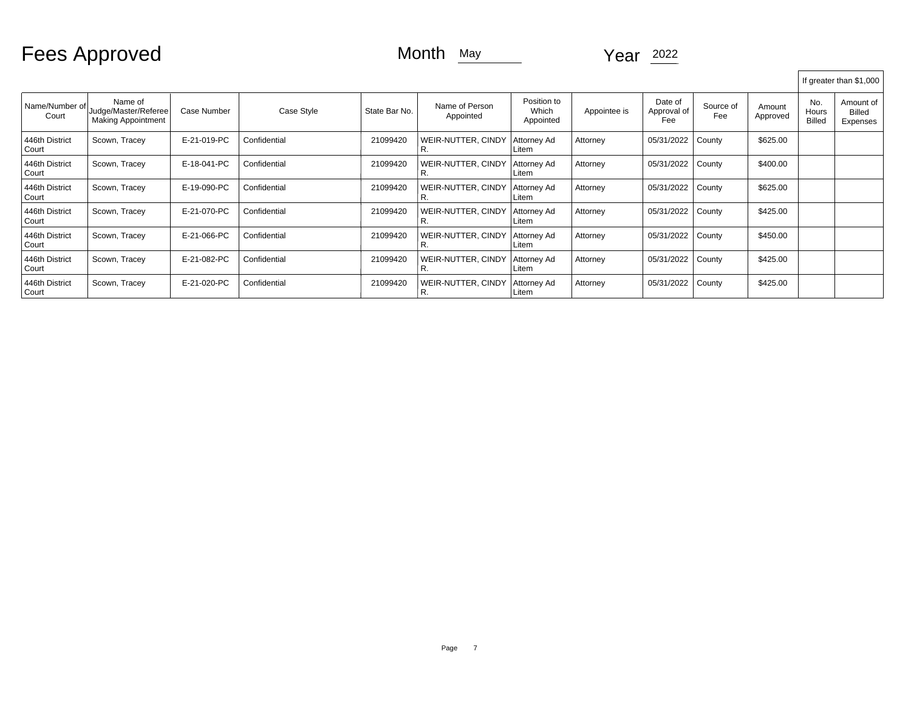Fees Approved Month May Month May Year 2022

|                           |                                                              |             |              |               |                             |                                   |              |                               |                  |                    |                        | If greater than \$1,000                |
|---------------------------|--------------------------------------------------------------|-------------|--------------|---------------|-----------------------------|-----------------------------------|--------------|-------------------------------|------------------|--------------------|------------------------|----------------------------------------|
| Name/Number of<br>Court   | Name of<br>Judge/Master/Referee<br><b>Making Appointment</b> | Case Number | Case Style   | State Bar No. | Name of Person<br>Appointed | Position to<br>Which<br>Appointed | Appointee is | Date of<br>Approval of<br>Fee | Source of<br>Fee | Amount<br>Approved | No.<br>Hours<br>Billed | Amount of<br><b>Billed</b><br>Expenses |
| 446th District<br>Court   | Scown, Tracey                                                | E-21-019-PC | Confidential | 21099420      | WEIR-NUTTER, CINDY<br>г.    | Attorney Ad<br>Litem              | Attorney     | 05/31/2022                    | County           | \$625.00           |                        |                                        |
| 446th District<br>Court   | Scown, Tracey                                                | E-18-041-PC | Confidential | 21099420      | WEIR-NUTTER, CINDY<br>κ.    | Attorney Ad<br>Litem              | Attorney     | 05/31/2022                    | County           | \$400.00           |                        |                                        |
| 446th District<br>Court   | Scown, Tracey                                                | E-19-090-PC | Confidential | 21099420      | WEIR-NUTTER, CINDY          | Attorney Ad<br>Litem              | Attorney     | 05/31/2022                    | County           | \$625.00           |                        |                                        |
| 446th District<br>l Court | Scown, Tracey                                                | E-21-070-PC | Confidential | 21099420      | WEIR-NUTTER, CINDY<br>R.    | Attorney Ad<br>Litem              | Attorney     | 05/31/2022                    | County           | \$425.00           |                        |                                        |
| 446th District<br>Court   | Scown, Tracey                                                | E-21-066-PC | Confidential | 21099420      | WEIR-NUTTER, CINDY<br>R.    | Attorney Ad<br>Litem              | Attorney     | 05/31/2022                    | County           | \$450.00           |                        |                                        |
| 446th District<br>Court   | Scown, Tracey                                                | E-21-082-PC | Confidential | 21099420      | WEIR-NUTTER, CINDY<br>R.    | Attorney Ad<br>Litem              | Attorney     | 05/31/2022                    | County           | \$425.00           |                        |                                        |
| 446th District<br>Court   | Scown, Tracey                                                | E-21-020-PC | Confidential | 21099420      | WEIR-NUTTER, CINDY<br>R.    | Attorney Ad<br>Litem              | Attorney     | 05/31/2022                    | County           | \$425.00           |                        |                                        |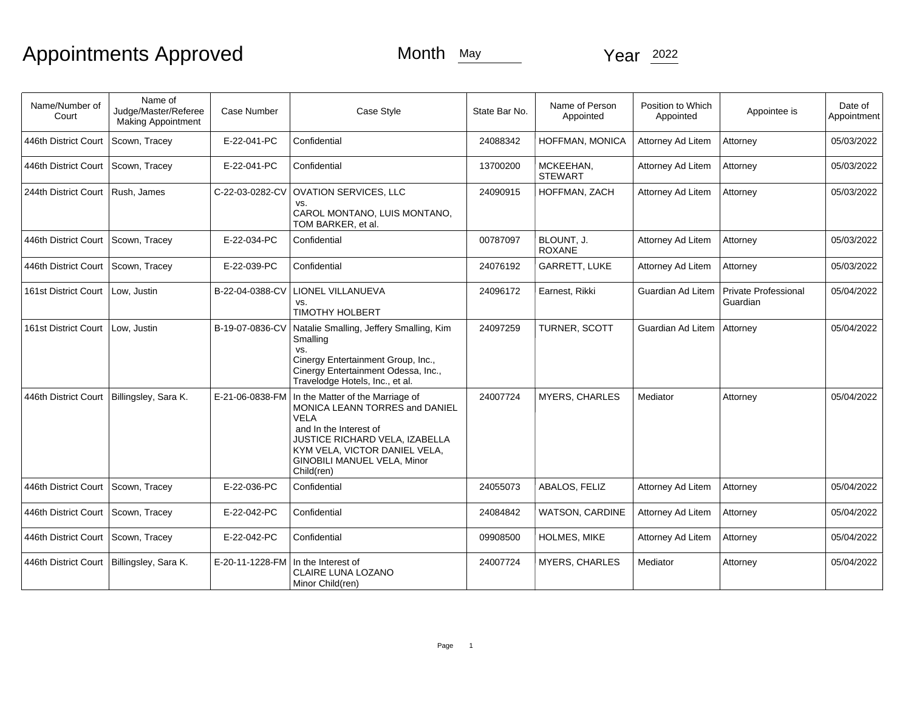| Name/Number of<br>Court                     | Name of<br>Judge/Master/Referee<br>Making Appointment | Case Number     | Case Style                                                                                                                                                                                                                  | State Bar No. | Name of Person<br>Appointed | Position to Which<br>Appointed | Appointee is                     | Date of<br>Appointment |
|---------------------------------------------|-------------------------------------------------------|-----------------|-----------------------------------------------------------------------------------------------------------------------------------------------------------------------------------------------------------------------------|---------------|-----------------------------|--------------------------------|----------------------------------|------------------------|
| 446th District Court                        | Scown, Tracey                                         | E-22-041-PC     | Confidential                                                                                                                                                                                                                | 24088342      | HOFFMAN, MONICA             | Attorney Ad Litem              | Attorney                         | 05/03/2022             |
| 446th District Court   Scown, Tracey        |                                                       | E-22-041-PC     | Confidential                                                                                                                                                                                                                | 13700200      | MCKEEHAN,<br><b>STEWART</b> | Attorney Ad Litem              | Attorney                         | 05/03/2022             |
| 244th District Court   Rush, James          |                                                       | C-22-03-0282-CV | <b>OVATION SERVICES, LLC</b><br>VS.<br>CAROL MONTANO, LUIS MONTANO,<br>TOM BARKER, et al.                                                                                                                                   | 24090915      | HOFFMAN, ZACH               | Attorney Ad Litem              | Attorney                         | 05/03/2022             |
| 446th District Court Scown, Tracey          |                                                       | E-22-034-PC     | Confidential                                                                                                                                                                                                                | 00787097      | BLOUNT. J.<br><b>ROXANE</b> | Attorney Ad Litem              | Attorney                         | 05/03/2022             |
| 446th District Court                        | Scown, Tracey                                         | E-22-039-PC     | Confidential                                                                                                                                                                                                                | 24076192      | GARRETT, LUKE               | Attorney Ad Litem              | Attorney                         | 05/03/2022             |
| 161st District Court   Low, Justin          |                                                       | B-22-04-0388-CV | LIONEL VILLANUEVA<br>VS.<br><b>TIMOTHY HOLBERT</b>                                                                                                                                                                          | 24096172      | Earnest, Rikki              | Guardian Ad Litem              | Private Professional<br>Guardian | 05/04/2022             |
| 161st District Court                        | Low, Justin                                           | B-19-07-0836-CV | Natalie Smalling, Jeffery Smalling, Kim<br>Smalling<br>VS.<br>Cinergy Entertainment Group, Inc.,<br>Cinergy Entertainment Odessa, Inc.,<br>Travelodge Hotels, Inc., et al.                                                  | 24097259      | TURNER, SCOTT               | Guardian Ad Litem              | Attorney                         | 05/04/2022             |
| 446th District Court                        | Billingsley, Sara K.                                  | E-21-06-0838-FM | In the Matter of the Marriage of<br>MONICA LEANN TORRES and DANIEL<br><b>VELA</b><br>and In the Interest of<br>JUSTICE RICHARD VELA, IZABELLA<br>KYM VELA. VICTOR DANIEL VELA.<br>GINOBILI MANUEL VELA, Minor<br>Child(ren) | 24007724      | <b>MYERS, CHARLES</b>       | Mediator                       | Attorney                         | 05/04/2022             |
| 446th District Court   Scown, Tracey        |                                                       | E-22-036-PC     | Confidential                                                                                                                                                                                                                | 24055073      | ABALOS, FELIZ               | Attorney Ad Litem              | Attorney                         | 05/04/2022             |
| 446th District Court   Scown, Tracey        |                                                       | E-22-042-PC     | Confidential                                                                                                                                                                                                                | 24084842      | <b>WATSON, CARDINE</b>      | Attorney Ad Litem              | Attorney                         | 05/04/2022             |
| 446th District Court   Scown, Tracey        |                                                       | E-22-042-PC     | Confidential                                                                                                                                                                                                                | 09908500      | <b>HOLMES, MIKE</b>         | Attorney Ad Litem              | Attorney                         | 05/04/2022             |
| 446th District Court   Billingsley, Sara K. |                                                       | E-20-11-1228-FM | In the Interest of<br><b>CLAIRE LUNA LOZANO</b><br>Minor Child(ren)                                                                                                                                                         | 24007724      | <b>MYERS, CHARLES</b>       | Mediator                       | Attorney                         | 05/04/2022             |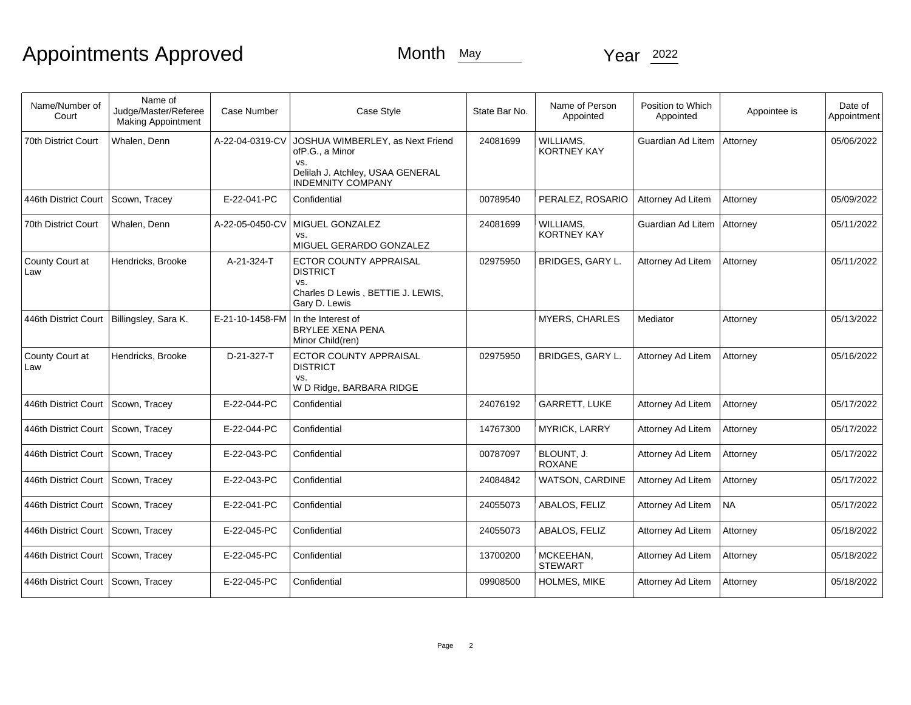| Name/Number of<br>Court              | Name of<br>Judge/Master/Referee<br><b>Making Appointment</b> | <b>Case Number</b> | Case Style                                                                                                                 | State Bar No. | Name of Person<br>Appointed     | Position to Which<br>Appointed | Appointee is | Date of<br>Appointment |
|--------------------------------------|--------------------------------------------------------------|--------------------|----------------------------------------------------------------------------------------------------------------------------|---------------|---------------------------------|--------------------------------|--------------|------------------------|
| 70th District Court                  | Whalen, Denn                                                 | A-22-04-0319-CV    | JOSHUA WIMBERLEY, as Next Friend<br>ofP.G., a Minor<br>VS.<br>Delilah J. Atchley, USAA GENERAL<br><b>INDEMNITY COMPANY</b> | 24081699      | WILLIAMS,<br><b>KORTNEY KAY</b> | Guardian Ad Litem              | Attorney     | 05/06/2022             |
| 446th District Court                 | Scown, Tracey                                                | E-22-041-PC        | Confidential                                                                                                               | 00789540      | PERALEZ, ROSARIO                | Attorney Ad Litem              | Attorney     | 05/09/2022             |
| 70th District Court                  | Whalen, Denn                                                 | A-22-05-0450-CV    | MIGUEL GONZALEZ<br>VS.<br>MIGUEL GERARDO GONZALEZ                                                                          | 24081699      | WILLIAMS.<br><b>KORTNEY KAY</b> | Guardian Ad Litem              | Attorney     | 05/11/2022             |
| County Court at<br>Law               | Hendricks, Brooke                                            | A-21-324-T         | ECTOR COUNTY APPRAISAL<br><b>DISTRICT</b><br>VS.<br>Charles D Lewis, BETTIE J. LEWIS,<br>Gary D. Lewis                     | 02975950      | <b>BRIDGES, GARY L.</b>         | Attorney Ad Litem              | Attorney     | 05/11/2022             |
| 446th District Court                 | Billingsley, Sara K.                                         | E-21-10-1458-FM    | In the Interest of<br><b>BRYLEE XENA PENA</b><br>Minor Child(ren)                                                          |               | <b>MYERS, CHARLES</b>           | Mediator                       | Attorney     | 05/13/2022             |
| County Court at<br>Law               | Hendricks, Brooke                                            | D-21-327-T         | ECTOR COUNTY APPRAISAL<br><b>DISTRICT</b><br>VS.<br>W D Ridge, BARBARA RIDGE                                               | 02975950      | BRIDGES, GARY L.                | Attorney Ad Litem              | Attorney     | 05/16/2022             |
| 446th District Court                 | Scown, Tracey                                                | E-22-044-PC        | Confidential                                                                                                               | 24076192      | <b>GARRETT, LUKE</b>            | Attorney Ad Litem              | Attorney     | 05/17/2022             |
| 446th District Court                 | Scown, Tracey                                                | E-22-044-PC        | Confidential                                                                                                               | 14767300      | <b>MYRICK, LARRY</b>            | Attorney Ad Litem              | Attorney     | 05/17/2022             |
| 446th District Court                 | Scown, Tracey                                                | E-22-043-PC        | Confidential                                                                                                               | 00787097      | BLOUNT, J.<br><b>ROXANE</b>     | Attorney Ad Litem              | Attorney     | 05/17/2022             |
| 446th District Court   Scown, Tracey |                                                              | E-22-043-PC        | Confidential                                                                                                               | 24084842      | <b>WATSON, CARDINE</b>          | Attorney Ad Litem              | Attorney     | 05/17/2022             |
| 446th District Court   Scown, Tracey |                                                              | E-22-041-PC        | Confidential                                                                                                               | 24055073      | ABALOS, FELIZ                   | Attorney Ad Litem              | NA           | 05/17/2022             |
| 446th District Court                 | Scown, Tracey                                                | E-22-045-PC        | Confidential                                                                                                               | 24055073      | ABALOS, FELIZ                   | Attorney Ad Litem              | Attorney     | 05/18/2022             |
| 446th District Court                 | Scown, Tracey                                                | E-22-045-PC        | Confidential                                                                                                               | 13700200      | MCKEEHAN,<br><b>STEWART</b>     | Attorney Ad Litem              | Attorney     | 05/18/2022             |
| 446th District Court                 | Scown, Tracey                                                | E-22-045-PC        | Confidential                                                                                                               | 09908500      | <b>HOLMES, MIKE</b>             | Attorney Ad Litem              | Attorney     | 05/18/2022             |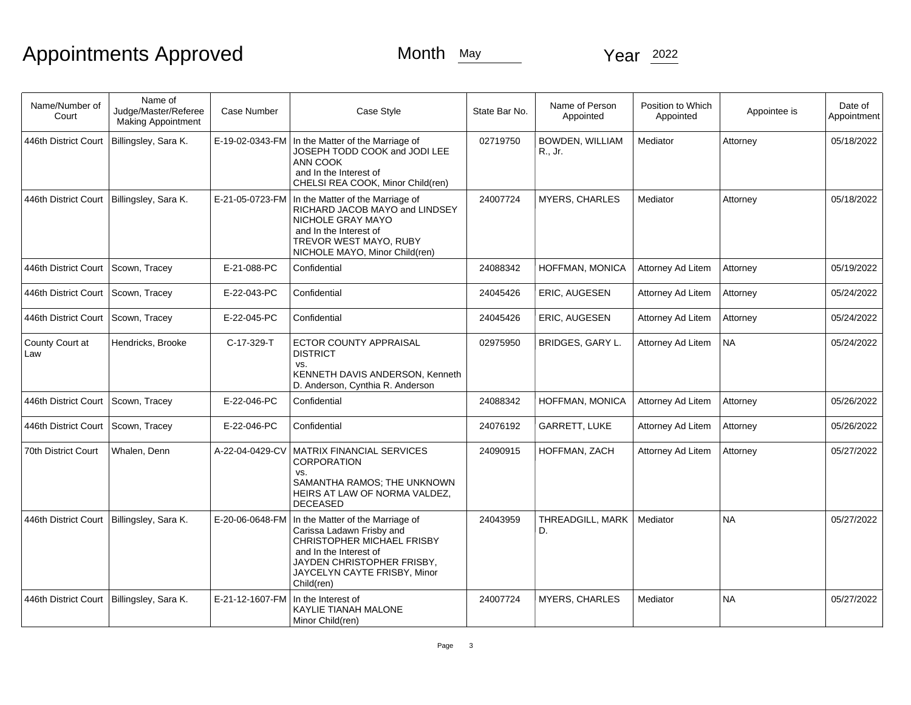| Name/Number of<br>Court                     | Name of<br>Judge/Master/Referee<br>Making Appointment | Case Number     | Case Style                                                                                                                                                                                               | State Bar No. | Name of Person<br>Appointed       | Position to Which<br>Appointed | Appointee is | Date of<br>Appointment |
|---------------------------------------------|-------------------------------------------------------|-----------------|----------------------------------------------------------------------------------------------------------------------------------------------------------------------------------------------------------|---------------|-----------------------------------|--------------------------------|--------------|------------------------|
| 446th District Court                        | Billingsley, Sara K.                                  | E-19-02-0343-FM | In the Matter of the Marriage of<br>JOSEPH TODD COOK and JODI LEE<br>ANN COOK<br>and In the Interest of<br>CHELSI REA COOK, Minor Child(ren)                                                             | 02719750      | <b>BOWDEN, WILLIAM</b><br>R., Jr. | Mediator                       | Attorney     | 05/18/2022             |
| 446th District Court   Billingsley, Sara K. |                                                       | E-21-05-0723-FM | In the Matter of the Marriage of<br>RICHARD JACOB MAYO and LINDSEY<br>NICHOLE GRAY MAYO<br>and In the Interest of<br>TREVOR WEST MAYO, RUBY<br>NICHOLE MAYO, Minor Child(ren)                            | 24007724      | <b>MYERS, CHARLES</b>             | Mediator                       | Attorney     | 05/18/2022             |
| 446th District Court                        | Scown, Tracey                                         | E-21-088-PC     | Confidential                                                                                                                                                                                             | 24088342      | HOFFMAN, MONICA                   | Attorney Ad Litem              | Attorney     | 05/19/2022             |
| 446th District Court                        | Scown, Tracey                                         | E-22-043-PC     | Confidential                                                                                                                                                                                             | 24045426      | ERIC, AUGESEN                     | Attorney Ad Litem              | Attorney     | 05/24/2022             |
| 446th District Court                        | Scown, Tracey                                         | E-22-045-PC     | Confidential                                                                                                                                                                                             | 24045426      | ERIC, AUGESEN                     | Attorney Ad Litem              | Attorney     | 05/24/2022             |
| County Court at<br>Law                      | Hendricks, Brooke                                     | C-17-329-T      | ECTOR COUNTY APPRAISAL<br><b>DISTRICT</b><br>VS.<br>KENNETH DAVIS ANDERSON, Kenneth<br>D. Anderson, Cynthia R. Anderson                                                                                  | 02975950      | BRIDGES, GARY L.                  | Attorney Ad Litem              | NA           | 05/24/2022             |
| 446th District Court                        | Scown, Tracey                                         | E-22-046-PC     | Confidential                                                                                                                                                                                             | 24088342      | HOFFMAN, MONICA                   | Attorney Ad Litem              | Attorney     | 05/26/2022             |
| 446th District Court                        | Scown, Tracey                                         | E-22-046-PC     | Confidential                                                                                                                                                                                             | 24076192      | GARRETT, LUKE                     | Attorney Ad Litem              | Attorney     | 05/26/2022             |
| 70th District Court                         | Whalen, Denn                                          | A-22-04-0429-CV | MATRIX FINANCIAL SERVICES<br>CORPORATION<br>VS.<br>SAMANTHA RAMOS; THE UNKNOWN<br>HEIRS AT LAW OF NORMA VALDEZ,<br><b>DECEASED</b>                                                                       | 24090915      | HOFFMAN, ZACH                     | Attorney Ad Litem              | Attorney     | 05/27/2022             |
| 446th District Court   Billingsley, Sara K. |                                                       | E-20-06-0648-FM | In the Matter of the Marriage of<br>Carissa Ladawn Frisby and<br><b>CHRISTOPHER MICHAEL FRISBY</b><br>and In the Interest of<br>JAYDEN CHRISTOPHER FRISBY,<br>JAYCELYN CAYTE FRISBY, Minor<br>Child(ren) | 24043959      | THREADGILL, MARK<br>D.            | Mediator                       | <b>NA</b>    | 05/27/2022             |
| 446th District Court   Billingsley, Sara K. |                                                       | E-21-12-1607-FM | In the Interest of<br>KAYLIE TIANAH MALONE<br>Minor Child(ren)                                                                                                                                           | 24007724      | <b>MYERS, CHARLES</b>             | Mediator                       | <b>NA</b>    | 05/27/2022             |